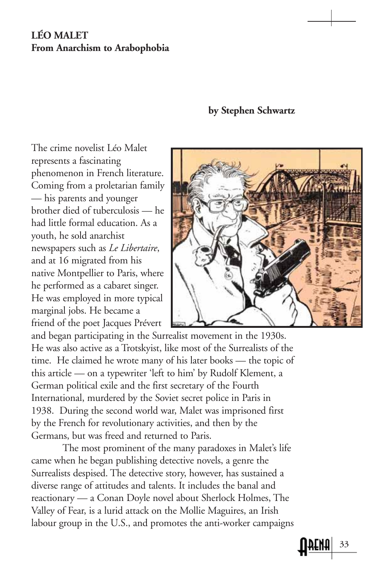## **LÉO MALET From Anarchism to Arabophobia**

## **by Stephen Schwartz**

The crime novelist Léo Malet represents a fascinating phenomenon in French literature. Coming from a proletarian family — his parents and younger brother died of tuberculosis — he had little formal education. As a youth, he sold anarchist newspapers such as *Le Libertaire*, and at 16 migrated from his native Montpellier to Paris, where he performed as a cabaret singer. He was employed in more typical marginal jobs. He became a friend of the poet Jacques Prévert



and began participating in the Surrealist movement in the 1930s. He was also active as a Trotskyist, like most of the Surrealists of the time. He claimed he wrote many of his later books — the topic of this article — on a typewriter 'left to him' by Rudolf Klement, a German political exile and the first secretary of the Fourth International, murdered by the Soviet secret police in Paris in 1938. During the second world war, Malet was imprisoned first by the French for revolutionary activities, and then by the Germans, but was freed and returned to Paris.

The most prominent of the many paradoxes in Malet's life came when he began publishing detective novels, a genre the Surrealists despised. The detective story, however, has sustained a diverse range of attitudes and talents. It includes the banal and reactionary — a Conan Doyle novel about Sherlock Holmes, The Valley of Fear, is a lurid attack on the Mollie Maguires, an Irish labour group in the U.S., and promotes the anti-worker campaigns

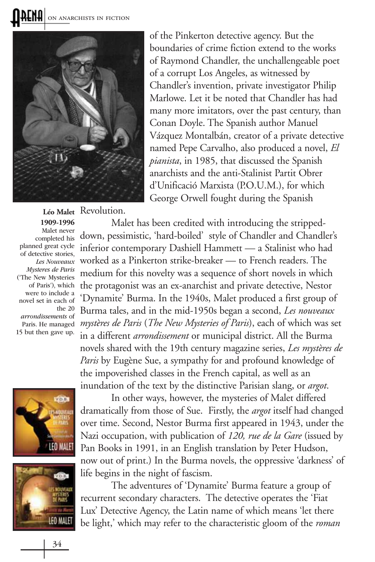**RENH** ON ANARCHISTS IN FICTION



Léo Malet Revolution.

**1909-1996** Malet never completed his planned great cycle of detective stories, Les Nouveaux Mysteres de Paris ('The New Mysteries of Paris'), which were to include a novel set in each of the 20 arrondissements of 15 but then gave up.

of the Pinkerton detective agency. But the boundaries of crime fiction extend to the works of Raymond Chandler, the unchallengeable poet of a corrupt Los Angeles, as witnessed by Chandler's invention, private investigator Philip Marlowe. Let it be noted that Chandler has had many more imitators, over the past century, than Conan Doyle. The Spanish author Manuel Vázquez Montalbán, creator of a private detective named Pepe Carvalho, also produced a novel, *El pianista*, in 1985, that discussed the Spanish anarchists and the anti-Stalinist Partit Obrer d'Unificació Marxista (P.O.U.M.), for which George Orwell fought during the Spanish

Malet has been credited with introducing the strippeddown, pessimistic, 'hard-boiled' style of Chandler and Chandler's inferior contemporary Dashiell Hammett — a Stalinist who had worked as a Pinkerton strike-breaker — to French readers. The medium for this novelty was a sequence of short novels in which the protagonist was an ex-anarchist and private detective, Nestor 'Dynamite' Burma. In the 1940s, Malet produced a first group of Burma tales, and in the mid-1950s began a second, *Les nouveaux mystères de Paris* (*The New Mysteries of Paris*), each of which was set Paris. He managed in a different *arrondissement* or municipal district. All the Burma novels shared with the 19th century magazine series, *Les mystères de Paris* by Eugène Sue, a sympathy for and profound knowledge of the impoverished classes in the French capital, as well as an inundation of the text by the distinctive Parisian slang, or *argot*.





In other ways, however, the mysteries of Malet differed dramatically from those of Sue. Firstly, the *argot* itself had changed over time. Second, Nestor Burma first appeared in 1943, under the Nazi occupation, with publication of *120, rue de la Gare* (issued by Pan Books in 1991, in an English translation by Peter Hudson, now out of print.) In the Burma novels, the oppressive 'darkness' of life begins in the night of fascism.

The adventures of 'Dynamite' Burma feature a group of recurrent secondary characters. The detective operates the 'Fiat Lux' Detective Agency, the Latin name of which means 'let there be light,' which may refer to the characteristic gloom of the *roman*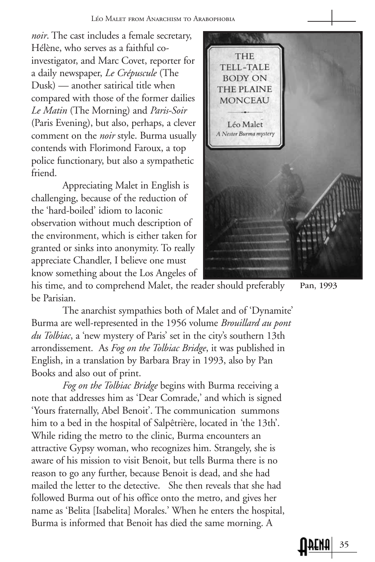*noir*. The cast includes a female secretary, Hélène, who serves as a faithful coinvestigator, and Marc Covet, reporter for a daily newspaper, *Le Crépuscule* (The Dusk) — another satirical title when compared with those of the former dailies *Le Matin* (The Morning) and *Paris-Soir* (Paris Evening), but also, perhaps, a clever comment on the *noir* style. Burma usually contends with Florimond Faroux, a top police functionary, but also a sympathetic friend.

Appreciating Malet in English is challenging, because of the reduction of the 'hard-boiled' idiom to laconic observation without much description of the environment, which is either taken for granted or sinks into anonymity. To really appreciate Chandler, I believe one must know something about the Los Angeles of



his time, and to comprehend Malet, the reader should preferably be Parisian.

The anarchist sympathies both of Malet and of 'Dynamite' Burma are well-represented in the 1956 volume *Brouillard au pont du Tolbiac*, a 'new mystery of Paris' set in the city's southern 13th arrondissement. As *Fog on the Tolbiac Bridge*, it was published in English, in a translation by Barbara Bray in 1993, also by Pan Books and also out of print.

*Fog on the Tolbiac Bridge* begins with Burma receiving a note that addresses him as 'Dear Comrade,' and which is signed 'Yours fraternally, Abel Benoit'. The communication summons him to a bed in the hospital of Salpêtrière, located in 'the 13th'. While riding the metro to the clinic, Burma encounters an attractive Gypsy woman, who recognizes him. Strangely, she is aware of his mission to visit Benoit, but tells Burma there is no reason to go any further, because Benoit is dead, and she had mailed the letter to the detective. She then reveals that she had followed Burma out of his office onto the metro, and gives her name as 'Belita [Isabelita] Morales.' When he enters the hospital, Burma is informed that Benoit has died the same morning. A

Pan, 1993

35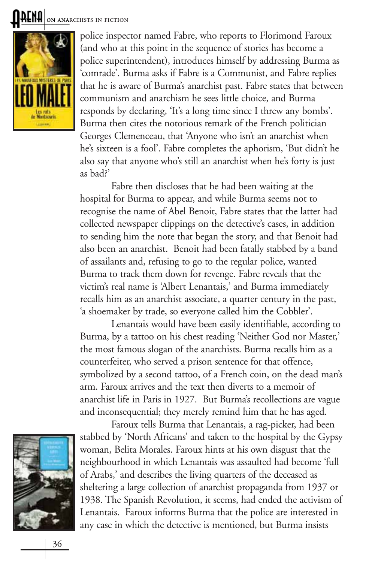**ALNH** ON ANARCHISTS IN FICTION



police inspector named Fabre, who reports to Florimond Faroux (and who at this point in the sequence of stories has become a police superintendent), introduces himself by addressing Burma as 'comrade'. Burma asks if Fabre is a Communist, and Fabre replies that he is aware of Burma's anarchist past. Fabre states that between communism and anarchism he sees little choice, and Burma responds by declaring, 'It's a long time since I threw any bombs'. Burma then cites the notorious remark of the French politician Georges Clemenceau, that 'Anyone who isn't an anarchist when he's sixteen is a fool'. Fabre completes the aphorism, 'But didn't he also say that anyone who's still an anarchist when he's forty is just as bad?'

Fabre then discloses that he had been waiting at the hospital for Burma to appear, and while Burma seems not to recognise the name of Abel Benoit, Fabre states that the latter had collected newspaper clippings on the detective's cases, in addition to sending him the note that began the story, and that Benoit had also been an anarchist. Benoit had been fatally stabbed by a band of assailants and, refusing to go to the regular police, wanted Burma to track them down for revenge. Fabre reveals that the victim's real name is 'Albert Lenantais,' and Burma immediately recalls him as an anarchist associate, a quarter century in the past, 'a shoemaker by trade, so everyone called him the Cobbler'.

Lenantais would have been easily identifiable, according to Burma, by a tattoo on his chest reading 'Neither God nor Master,' the most famous slogan of the anarchists. Burma recalls him as a counterfeiter, who served a prison sentence for that offence, symbolized by a second tattoo, of a French coin, on the dead man's arm. Faroux arrives and the text then diverts to a memoir of anarchist life in Paris in 1927. But Burma's recollections are vague and inconsequential; they merely remind him that he has aged.



Faroux tells Burma that Lenantais, a rag-picker, had been stabbed by 'North Africans' and taken to the hospital by the Gypsy woman, Belita Morales. Faroux hints at his own disgust that the neighbourhood in which Lenantais was assaulted had become 'full of Arabs,' and describes the living quarters of the deceased as sheltering a large collection of anarchist propaganda from 1937 or 1938. The Spanish Revolution, it seems, had ended the activism of Lenantais. Faroux informs Burma that the police are interested in any case in which the detective is mentioned, but Burma insists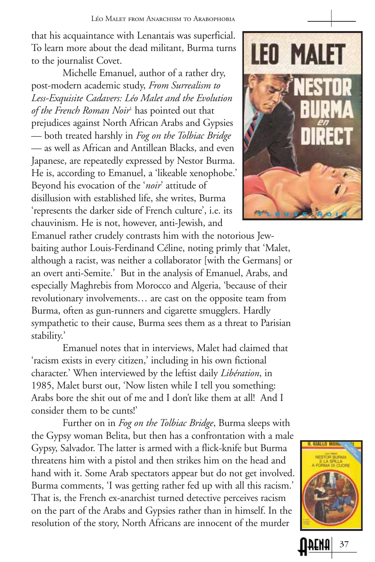that his acquaintance with Lenantais was superficial. To learn more about the dead militant, Burma turns to the journalist Covet.

Michelle Emanuel, author of a rather dry, post-modern academic study, *From Surrealism to Less-Exquisite Cadavers: Léo Malet and the Evolution of the French Roman Noir*<sup>1</sup> has pointed out that prejudices against North African Arabs and Gypsies — both treated harshly in *Fog on the Tolbiac Bridge* — as well as African and Antillean Blacks, and even Japanese, are repeatedly expressed by Nestor Burma. He is, according to Emanuel, a 'likeable xenophobe.' Beyond his evocation of the '*noir*' attitude of disillusion with established life, she writes, Burma 'represents the darker side of French culture', i.e. its chauvinism. He is not, however, anti-Jewish, and

Emanuel rather crudely contrasts him with the notorious Jewbaiting author Louis-Ferdinand Céline, noting primly that 'Malet, although a racist, was neither a collaborator [with the Germans] or an overt anti-Semite.' But in the analysis of Emanuel, Arabs, and especially Maghrebis from Morocco and Algeria, 'because of their revolutionary involvements… are cast on the opposite team from Burma, often as gun-runners and cigarette smugglers. Hardly sympathetic to their cause, Burma sees them as a threat to Parisian stability.'

Emanuel notes that in interviews, Malet had claimed that 'racism exists in every citizen,' including in his own fictional character.' When interviewed by the leftist daily *Libération*, in 1985, Malet burst out, 'Now listen while I tell you something: Arabs bore the shit out of me and I don't like them at all! And I consider them to be cunts!'

Further on in *Fog on the Tolbiac Bridge*, Burma sleeps with the Gypsy woman Belita, but then has a confrontation with a male Gypsy, Salvador. The latter is armed with a flick-knife but Burma threatens him with a pistol and then strikes him on the head and hand with it. Some Arab spectators appear but do not get involved. Burma comments, 'I was getting rather fed up with all this racism.' That is, the French ex-anarchist turned detective perceives racism on the part of the Arabs and Gypsies rather than in himself. In the resolution of the story, North Africans are innocent of the murder





37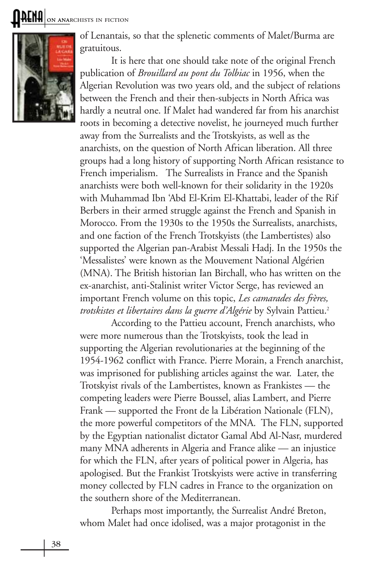**AENA** ON ANARCHISTS IN FICTION



of Lenantais, so that the splenetic comments of Malet/Burma are gratuitous.

It is here that one should take note of the original French publication of *Brouillard au pont du Tolbiac* in 1956, when the Algerian Revolution was two years old, and the subject of relations between the French and their then-subjects in North Africa was hardly a neutral one. If Malet had wandered far from his anarchist roots in becoming a detective novelist, he journeyed much further away from the Surrealists and the Trotskyists, as well as the anarchists, on the question of North African liberation. All three groups had a long history of supporting North African resistance to French imperialism. The Surrealists in France and the Spanish anarchists were both well-known for their solidarity in the 1920s with Muhammad Ibn 'Abd El-Krim El-Khattabi, leader of the Rif Berbers in their armed struggle against the French and Spanish in Morocco. From the 1930s to the 1950s the Surrealists, anarchists, and one faction of the French Trotskyists (the Lambertistes) also supported the Algerian pan-Arabist Messali Hadj. In the 1950s the 'Messalistes' were known as the Mouvement National Algérien (MNA). The British historian Ian Birchall, who has written on the ex-anarchist, anti-Stalinist writer Victor Serge, has reviewed an important French volume on this topic, *Les camarades des frères, trotskistes et libertaires dans la guerre d'Algérie* by Sylvain Pattieu.2

According to the Pattieu account, French anarchists, who were more numerous than the Trotskyists, took the lead in supporting the Algerian revolutionaries at the beginning of the 1954-1962 conflict with France. Pierre Morain, a French anarchist, was imprisoned for publishing articles against the war. Later, the Trotskyist rivals of the Lambertistes, known as Frankistes — the competing leaders were Pierre Boussel, alias Lambert, and Pierre Frank — supported the Front de la Libération Nationale (FLN), the more powerful competitors of the MNA. The FLN, supported by the Egyptian nationalist dictator Gamal Abd Al-Nasr, murdered many MNA adherents in Algeria and France alike — an injustice for which the FLN, after years of political power in Algeria, has apologised. But the Frankist Trotskyists were active in transferring money collected by FLN cadres in France to the organization on the southern shore of the Mediterranean.

Perhaps most importantly, the Surrealist André Breton, whom Malet had once idolised, was a major protagonist in the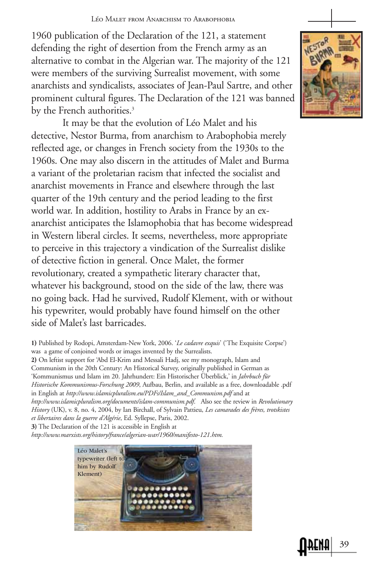1960 publication of the Declaration of the 121, a statement defending the right of desertion from the French army as an alternative to combat in the Algerian war. The majority of the 121 were members of the surviving Surrealist movement, with some anarchists and syndicalists, associates of Jean-Paul Sartre, and other prominent cultural figures. The Declaration of the 121 was banned by the French authorities.<sup>3</sup>

It may be that the evolution of Léo Malet and his detective, Nestor Burma, from anarchism to Arabophobia merely reflected age, or changes in French society from the 1930s to the 1960s. One may also discern in the attitudes of Malet and Burma a variant of the proletarian racism that infected the socialist and anarchist movements in France and elsewhere through the last quarter of the 19th century and the period leading to the first world war. In addition, hostility to Arabs in France by an exanarchist anticipates the Islamophobia that has become widespread in Western liberal circles. It seems, nevertheless, more appropriate to perceive in this trajectory a vindication of the Surrealist dislike of detective fiction in general. Once Malet, the former revolutionary, created a sympathetic literary character that, whatever his background, stood on the side of the law, there was no going back. Had he survived, Rudolf Klement, with or without his typewriter, would probably have found himself on the other side of Malet's last barricades.

1) Published by Rodopi, Amsterdam-New York, 2006. '*Le cadavre exquis*' ('The Exquisite Corpse') was a game of conjoined words or images invented by the Surrealists.

2) On leftist support for 'Abd El-Krim and Messali Hadj, see my monograph, Islam and Communism in the 20th Century: An Historical Survey, originally published in German as 'Kommunismus und Islam im 20. Jahrhundert: Ein Historischer Überblick,' in *Jahrbuch für Historische Kommunismus-Forschung 2009*, Aufbau, Berlin, and available as a free, downloadable .pdf in English at *http://www.islamicpluralism.eu/PDFs/Islam\_and\_Communism.pdf* and at *http://www.islamicpluralism.org/documents/islam-communism.pdf*. Also see the review in *Revolutionary History* (UK), v. 8, no. 4, 2004, by Ian Birchall, of Sylvain Pattieu, *Les camarades des frères, trotskistes et libertaires dans la guerre d'Algérie*, Ed. Syllepse, Paris, 2002. **3)** The Declaration of the 121 is accessible in English at

*http://www.marxists.org/history/france/algerian-war/1960/manifesto-121.htm.*